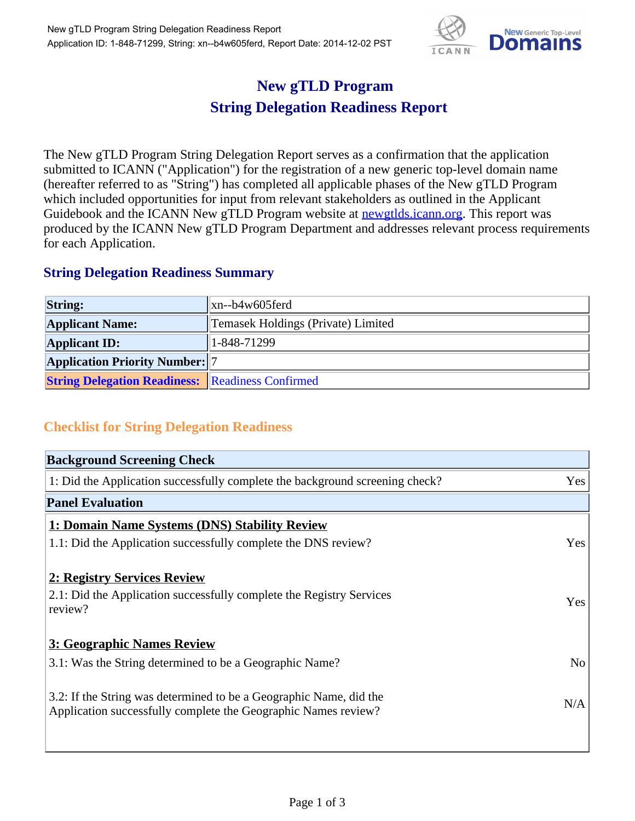

## **New gTLD Program String Delegation Readiness Report**

The New gTLD Program String Delegation Report serves as a confirmation that the application submitted to ICANN ("Application") for the registration of a new generic top-level domain name (hereafter referred to as "String") has completed all applicable phases of the New gTLD Program which included opportunities for input from relevant stakeholders as outlined in the Applicant Guidebook and the ICANN New gTLD Program website at **newgtlds.icann.org**. This report was produced by the ICANN New gTLD Program Department and addresses relevant process requirements for each Application.

## **String Delegation Readiness Summary**

| <b>String:</b>                                          | $\vert$ xn--b4w605ferd             |
|---------------------------------------------------------|------------------------------------|
| <b>Applicant Name:</b>                                  | Temasek Holdings (Private) Limited |
| <b>Applicant ID:</b>                                    | 1-848-71299                        |
| <b>Application Priority Number:</b> 7                   |                                    |
| <b>String Delegation Readiness:</b> Readiness Confirmed |                                    |

## **Checklist for String Delegation Readiness**

| <b>Background Screening Check</b>                                               |                |
|---------------------------------------------------------------------------------|----------------|
| 1: Did the Application successfully complete the background screening check?    | <b>Yes</b>     |
| <b>Panel Evaluation</b>                                                         |                |
| 1: Domain Name Systems (DNS) Stability Review                                   |                |
| 1.1: Did the Application successfully complete the DNS review?                  | Yes            |
|                                                                                 |                |
| 2: Registry Services Review                                                     |                |
| 2.1: Did the Application successfully complete the Registry Services<br>review? | Yes            |
|                                                                                 |                |
| 3: Geographic Names Review                                                      |                |
| 3.1: Was the String determined to be a Geographic Name?                         | N <sub>o</sub> |
|                                                                                 |                |
| 3.2: If the String was determined to be a Geographic Name, did the              | N/A            |
| Application successfully complete the Geographic Names review?                  |                |
|                                                                                 |                |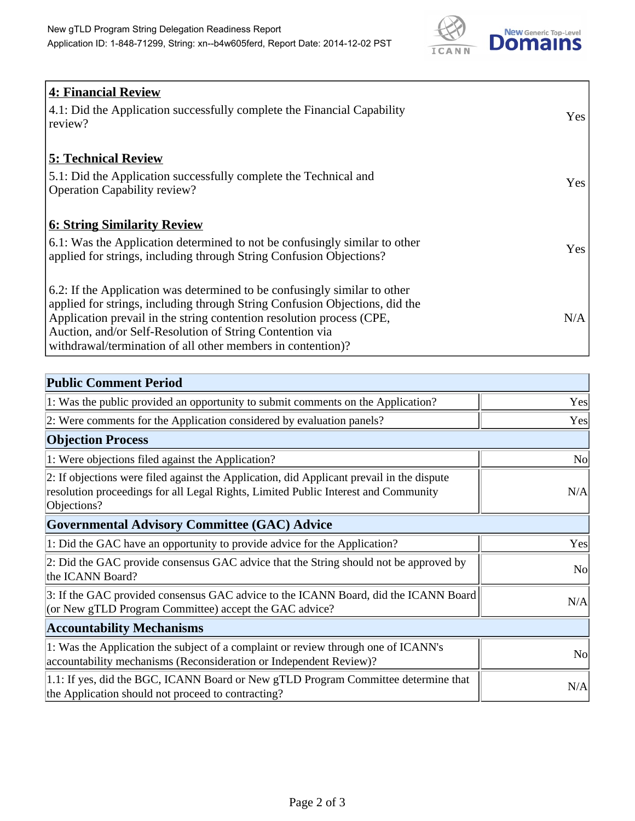

| <b>4: Financial Review</b><br>4.1: Did the Application successfully complete the Financial Capability<br>review?                                                                                                                                                                                                                                             | Yes |
|--------------------------------------------------------------------------------------------------------------------------------------------------------------------------------------------------------------------------------------------------------------------------------------------------------------------------------------------------------------|-----|
| <b>5: Technical Review</b><br>5.1: Did the Application successfully complete the Technical and<br><b>Operation Capability review?</b>                                                                                                                                                                                                                        | Yes |
| <u><b>6: String Similarity Review</b></u><br>6.1: Was the Application determined to not be confusingly similar to other<br>applied for strings, including through String Confusion Objections?                                                                                                                                                               | Yes |
| 6.2: If the Application was determined to be confusingly similar to other<br>applied for strings, including through String Confusion Objections, did the<br>Application prevail in the string contention resolution process (CPE,<br>Auction, and/or Self-Resolution of String Contention via<br>withdrawal/termination of all other members in contention)? | N/A |

| <b>Public Comment Period</b>                                                                                                                                                                   |                |
|------------------------------------------------------------------------------------------------------------------------------------------------------------------------------------------------|----------------|
| 1: Was the public provided an opportunity to submit comments on the Application?                                                                                                               | Yes            |
| 2: Were comments for the Application considered by evaluation panels?                                                                                                                          | Yes            |
| <b>Objection Process</b>                                                                                                                                                                       |                |
| 1: Were objections filed against the Application?                                                                                                                                              | <b>No</b>      |
| 2: If objections were filed against the Application, did Applicant prevail in the dispute<br>resolution proceedings for all Legal Rights, Limited Public Interest and Community<br>Objections? | N/A            |
| <b>Governmental Advisory Committee (GAC) Advice</b>                                                                                                                                            |                |
| 1: Did the GAC have an opportunity to provide advice for the Application?                                                                                                                      | Yes            |
| 2: Did the GAC provide consensus GAC advice that the String should not be approved by<br>the ICANN Board?                                                                                      | N <sub>o</sub> |
| 3: If the GAC provided consensus GAC advice to the ICANN Board, did the ICANN Board<br>(or New gTLD Program Committee) accept the GAC advice?                                                  | N/A            |
| <b>Accountability Mechanisms</b>                                                                                                                                                               |                |
| 1: Was the Application the subject of a complaint or review through one of ICANN's<br>accountability mechanisms (Reconsideration or Independent Review)?                                       | <b>No</b>      |
| 1.1: If yes, did the BGC, ICANN Board or New gTLD Program Committee determine that<br>the Application should not proceed to contracting?                                                       | N/A            |